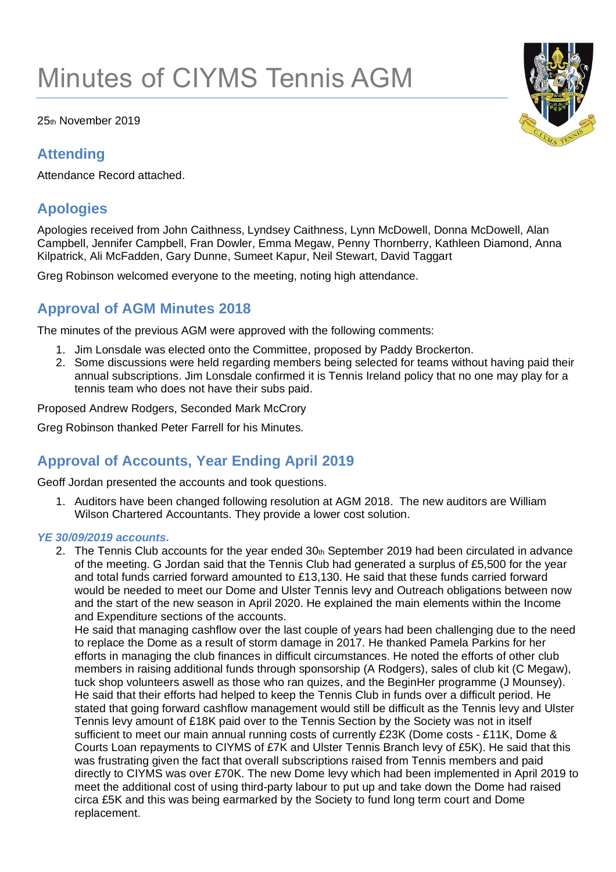# Minutes of CIYMS Tennis AGM

25th November 2019

# **Attending**

Attendance Record attached.

# **Apologies**

Apologies received from John Caithness, Lyndsey Caithness, Lynn McDowell, Donna McDowell, Alan Campbell, Jennifer Campbell, Fran Dowler, Emma Megaw, Penny Thornberry, Kathleen Diamond, Anna Kilpatrick, Ali McFadden, Gary Dunne, Sumeet Kapur, Neil Stewart, David Taggart

Greg Robinson welcomed everyone to the meeting, noting high attendance.

# **Approval of AGM Minutes 2018**

The minutes of the previous AGM were approved with the following comments:

- 1. Jim Lonsdale was elected onto the Committee, proposed by Paddy Brockerton.
- 2. Some discussions were held regarding members being selected for teams without having paid their annual subscriptions. Jim Lonsdale confirmed it is Tennis Ireland policy that no one may play for a tennis team who does not have their subs paid.

Proposed Andrew Rodgers, Seconded Mark McCrory

Greg Robinson thanked Peter Farrell for his Minutes.

# **Approval of Accounts, Year Ending April 2019**

Geoff Jordan presented the accounts and took questions.

1. Auditors have been changed following resolution at AGM 2018. The new auditors are William Wilson Chartered Accountants. They provide a lower cost solution.

#### *YE 30/09/2019 accounts.*

2. The Tennis Club accounts for the year ended  $30<sub>th</sub>$  September 2019 had been circulated in advance of the meeting. G Jordan said that the Tennis Club had generated a surplus of £5,500 for the year and total funds carried forward amounted to £13,130. He said that these funds carried forward would be needed to meet our Dome and Ulster Tennis levy and Outreach obligations between now and the start of the new season in April 2020. He explained the main elements within the Income and Expenditure sections of the accounts.

He said that managing cashflow over the last couple of years had been challenging due to the need to replace the Dome as a result of storm damage in 2017. He thanked Pamela Parkins for her efforts in managing the club finances in difficult circumstances. He noted the efforts of other club members in raising additional funds through sponsorship (A Rodgers), sales of club kit (C Megaw), tuck shop volunteers aswell as those who ran quizes, and the BeginHer programme (J Mounsey). He said that their efforts had helped to keep the Tennis Club in funds over a difficult period. He stated that going forward cashflow management would still be difficult as the Tennis levy and Ulster Tennis levy amount of £18K paid over to the Tennis Section by the Society was not in itself sufficient to meet our main annual running costs of currently £23K (Dome costs - £11K, Dome & Courts Loan repayments to CIYMS of £7K and Ulster Tennis Branch levy of £5K). He said that this was frustrating given the fact that overall subscriptions raised from Tennis members and paid directly to CIYMS was over £70K. The new Dome levy which had been implemented in April 2019 to meet the additional cost of using third-party labour to put up and take down the Dome had raised circa £5K and this was being earmarked by the Society to fund long term court and Dome replacement.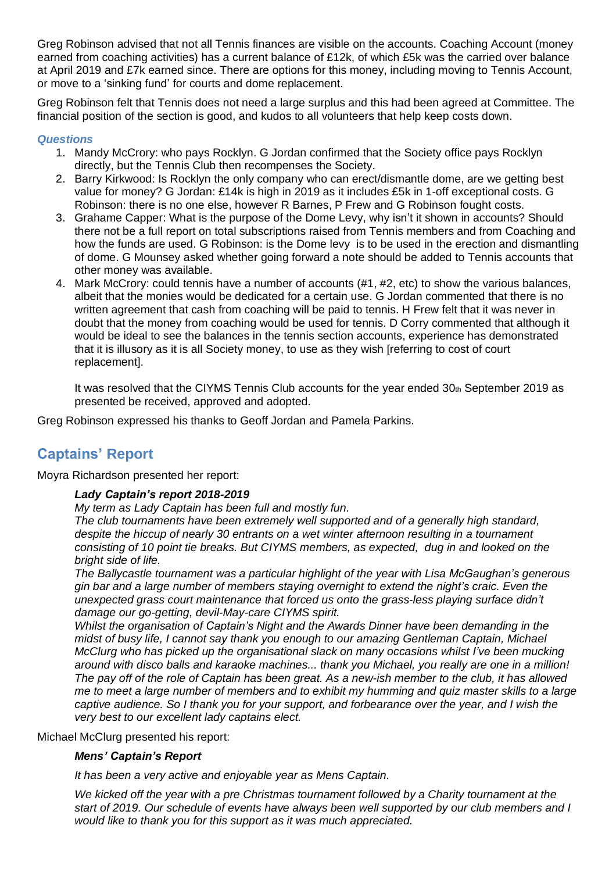Greg Robinson advised that not all Tennis finances are visible on the accounts. Coaching Account (money earned from coaching activities) has a current balance of £12k, of which £5k was the carried over balance at April 2019 and £7k earned since. There are options for this money, including moving to Tennis Account, or move to a 'sinking fund' for courts and dome replacement.

Greg Robinson felt that Tennis does not need a large surplus and this had been agreed at Committee. The financial position of the section is good, and kudos to all volunteers that help keep costs down.

#### *Questions*

- 1. Mandy McCrory: who pays Rocklyn. G Jordan confirmed that the Society office pays Rocklyn directly, but the Tennis Club then recompenses the Society.
- 2. Barry Kirkwood: Is Rocklyn the only company who can erect/dismantle dome, are we getting best value for money? G Jordan: £14k is high in 2019 as it includes £5k in 1-off exceptional costs. G Robinson: there is no one else, however R Barnes, P Frew and G Robinson fought costs.
- 3. Grahame Capper: What is the purpose of the Dome Levy, why isn't it shown in accounts? Should there not be a full report on total subscriptions raised from Tennis members and from Coaching and how the funds are used. G Robinson: is the Dome levy is to be used in the erection and dismantling of dome. G Mounsey asked whether going forward a note should be added to Tennis accounts that other money was available.
- 4. Mark McCrory: could tennis have a number of accounts (#1, #2, etc) to show the various balances, albeit that the monies would be dedicated for a certain use. G Jordan commented that there is no written agreement that cash from coaching will be paid to tennis. H Frew felt that it was never in doubt that the money from coaching would be used for tennis. D Corry commented that although it would be ideal to see the balances in the tennis section accounts, experience has demonstrated that it is illusory as it is all Society money, to use as they wish [referring to cost of court replacement].

It was resolved that the CIYMS Tennis Club accounts for the year ended 30th September 2019 as presented be received, approved and adopted.

Greg Robinson expressed his thanks to Geoff Jordan and Pamela Parkins.

# **Captains' Report**

Moyra Richardson presented her report:

## *Lady Captain's report 2018-2019*

*My term as Lady Captain has been full and mostly fun.*

*The club tournaments have been extremely well supported and of a generally high standard, despite the hiccup of nearly 30 entrants on a wet winter afternoon resulting in a tournament consisting of 10 point tie breaks. But CIYMS members, as expected, dug in and looked on the bright side of life.*

*The Ballycastle tournament was a particular highlight of the year with Lisa McGaughan's generous gin bar and a large number of members staying overnight to extend the night's craic. Even the unexpected grass court maintenance that forced us onto the grass-less playing surface didn't damage our go-getting, devil-May-care CIYMS spirit.*

*Whilst the organisation of Captain's Night and the Awards Dinner have been demanding in the midst of busy life, I cannot say thank you enough to our amazing Gentleman Captain, Michael McClurg who has picked up the organisational slack on many occasions whilst I've been mucking around with disco balls and karaoke machines... thank you Michael, you really are one in a million!* The pay off of the role of Captain has been great. As a new-ish member to the club, it has allowed me to meet a large number of members and to exhibit my humming and quiz master skills to a large *captive audience. So I thank you for your support, and forbearance over the year, and I wish the very best to our excellent lady captains elect.*

Michael McClurg presented his report:

#### *Mens' Captain's Report*

*It has been a very active and enjoyable year as Mens Captain.*

*We kicked off the year with a pre Christmas tournament followed by a Charity tournament at the start of 2019. Our schedule of events have always been well supported by our club members and I would like to thank you for this support as it was much appreciated.*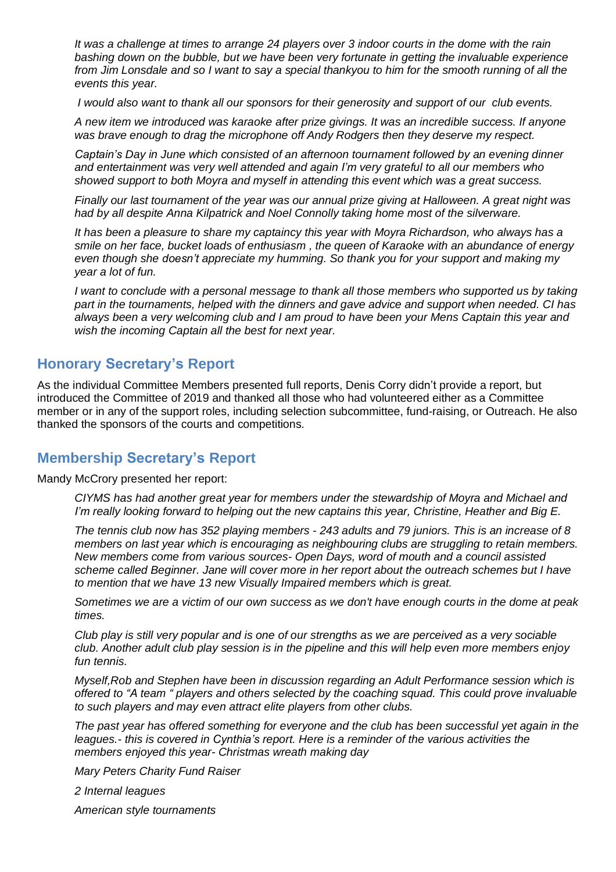It was a challenge at times to arrange 24 players over 3 indoor courts in the dome with the rain *bashing down on the bubble, but we have been very fortunate in getting the invaluable experience* from Jim Lonsdale and so I want to say a special thankyou to him for the smooth running of all the *events this year.*

*I would also want to thank all our sponsors for their generosity and support of our club events.*

*A new item we introduced was karaoke after prize givings. It was an incredible success. If anyone was brave enough to drag the microphone off Andy Rodgers then they deserve my respect.*

*Captain's Day in June which consisted of an afternoon tournament followed by an evening dinner and entertainment was very well attended and again I'm very grateful to all our members who showed support to both Moyra and myself in attending this event which was a great success.*

Finally our last tournament of the year was our annual prize giving at Halloween. A great night was *had by all despite Anna Kilpatrick and Noel Connolly taking home most of the silverware.*

*It has been a pleasure to share my captaincy this year with Moyra Richardson, who always has a smile on her face, bucket loads of enthusiasm , the queen of Karaoke with an abundance of energy even though she doesn't appreciate my humming. So thank you for your support and making my year a lot of fun.*

*I want to conclude with a personal message to thank all those members who supported us by taking part in the tournaments, helped with the dinners and gave advice and support when needed. CI has* always been a very welcoming club and I am proud to have been your Mens Captain this year and *wish the incoming Captain all the best for next year.*

## **Honorary Secretary's Report**

As the individual Committee Members presented full reports, Denis Corry didn't provide a report, but introduced the Committee of 2019 and thanked all those who had volunteered either as a Committee member or in any of the support roles, including selection subcommittee, fund-raising, or Outreach. He also thanked the sponsors of the courts and competitions.

## **Membership Secretary's Report**

Mandy McCrory presented her report:

*CIYMS has had another great year for members under the stewardship of Moyra and Michael and I'm really looking forward to helping out the new captains this year, Christine, Heather and Big E.*

The tennis club now has 352 plaving members - 243 adults and 79 juniors. This is an increase of 8 *members on last year which is encouraging as neighbouring clubs are struggling to retain members. New members come from various sources- Open Days, word of mouth and a council assisted scheme called Beginner. Jane will cover more in her report about the outreach schemes but I have to mention that we have 13 new Visually Impaired members which is great.*

Sometimes we are a victim of our own success as we don't have enough courts in the dome at peak *times.*

Club play is still very popular and is one of our strengths as we are perceived as a very sociable club. Another adult club play session is in the pipeline and this will help even more members enjoy *fun tennis.*

*Myself,Rob and Stephen have been in discussion regarding an Adult Performance session which is offered to "A team " players and others selected by the coaching squad. This could prove invaluable to such players and may even attract elite players from other clubs.*

*The past year has offered something for everyone and the club has been successful yet again in the leagues.- this is covered in Cynthia's report. Here is a reminder of the various activities the members enjoyed this year- Christmas wreath making day*

*Mary Peters Charity Fund Raiser*

*2 Internal leagues*

*American style tournaments*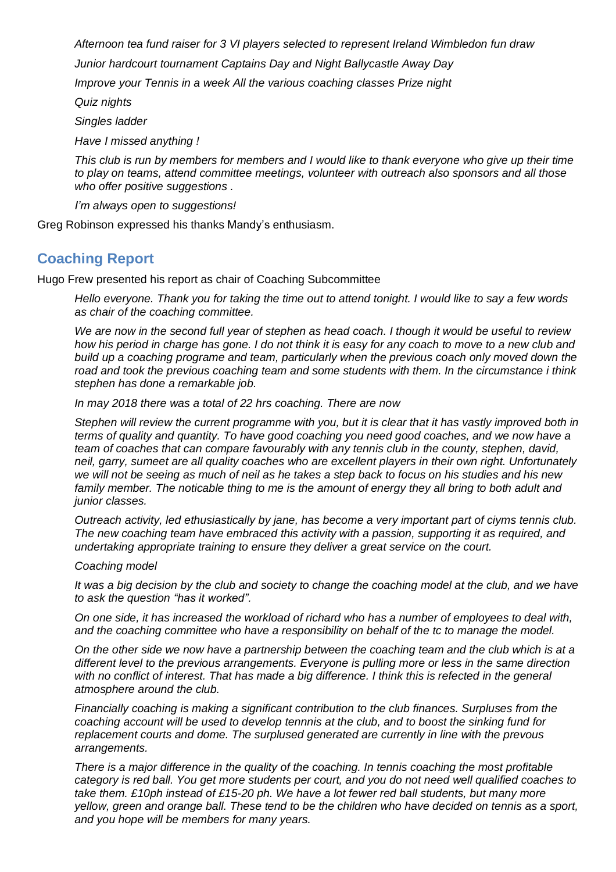*Afternoon tea fund raiser for 3 VI players selected to represent Ireland Wimbledon fun draw*

*Junior hardcourt tournament Captains Day and Night Ballycastle Away Day*

*Improve your Tennis in a week All the various coaching classes Prize night*

*Quiz nights*

*Singles ladder*

*Have I missed anything !*

This club is run by members for members and I would like to thank everyone who give up their time *to play on teams, attend committee meetings, volunteer with outreach also sponsors and all those who offer positive suggestions .*

*I'm always open to suggestions!*

Greg Robinson expressed his thanks Mandy's enthusiasm.

## **Coaching Report**

Hugo Frew presented his report as chair of Coaching Subcommittee

Hello everyone. Thank you for taking the time out to attend tonight. I would like to say a few words *as chair of the coaching committee.*

We are now in the second full year of stephen as head coach. I though it would be useful to review how his period in charge has gone. I do not think it is easy for any coach to move to a new club and *build up a coaching programe and team, particularly when the previous coach only moved down the road and took the previous coaching team and some students with them. In the circumstance i think stephen has done a remarkable job.*

*In may 2018 there was a total of 22 hrs coaching. There are now*

Stephen will review the current programme with you, but it is clear that it has vastly improved both in *terms of quality and quantity. To have good coaching you need good coaches, and we now have a team of coaches that can compare favourably with any tennis club in the county, stephen, david, neil, garry, sumeet are all quality coaches who are excellent players in their own right. Unfortunately* we will not be seeing as much of neil as he takes a step back to focus on his studies and his new family member. The noticable thing to me is the amount of energy they all bring to both adult and *junior classes.*

*Outreach activity, led ethusiastically by jane, has become a very important part of ciyms tennis club. The new coaching team have embraced this activity with a passion, supporting it as required, and undertaking appropriate training to ensure they deliver a great service on the court.*

*Coaching model*

It was a big decision by the club and society to change the coaching model at the club, and we have *to ask the question "has it worked".*

On one side, it has increased the workload of richard who has a number of employees to deal with, *and the coaching committee who have a responsibility on behalf of the tc to manage the model.*

On the other side we now have a partnership between the coaching team and the club which is at a *different level to the previous arrangements. Everyone is pulling more or less in the same direction* with no conflict of interest. That has made a big difference. I think this is refected in the general *atmosphere around the club.*

*Financially coaching is making a significant contribution to the club finances. Surpluses from the coaching account will be used to develop tennnis at the club, and to boost the sinking fund for replacement courts and dome. The surplused generated are currently in line with the prevous arrangements.*

*There is a major difference in the quality of the coaching. In tennis coaching the most profitable* category is red ball. You get more students per court, and you do not need well qualified coaches to *take them. £10ph instead of £15-20 ph. We have a lot fewer red ball students, but many more* yellow, green and orange ball. These tend to be the children who have decided on tennis as a sport, *and you hope will be members for many years.*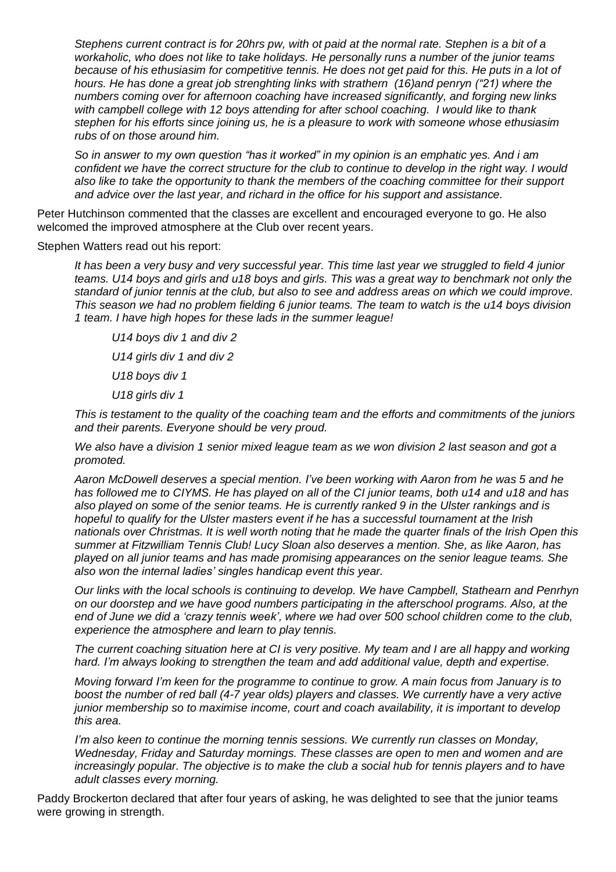Stephens current contract is for 20hrs pw, with ot paid at the normal rate. Stephen is a bit of a *workaholic, who does not like to take holidays. He personally runs a number of the junior teams* because of his ethusiasim for competitive tennis. He does not get paid for this. He puts in a lot of *hours. He has done a great job strenghting links with strathern (16)and penryn ("21) where the numbers coming over for afternoon coaching have increased significantly, and forging new links with campbell college with 12 boys attending for after school coaching. I would like to thank stephen for his efforts since joining us, he is a pleasure to work with someone whose ethusiasim rubs of on those around him.*

So in answer to my own question "has it worked" in my opinion is an emphatic yes. And i am confident we have the correct structure for the club to continue to develop in the right way. I would *also like to take the opportunity to thank the members of the coaching committee for their support and advice over the last year, and richard in the office for his support and assistance.*

Peter Hutchinson commented that the classes are excellent and encouraged everyone to go. He also welcomed the improved atmosphere at the Club over recent years.

Stephen Watters read out his report:

It has been a very busy and very successful year. This time last year we struggled to field 4 junior teams. U14 boys and girls and u18 boys and girls. This was a great way to benchmark not only the standard of junior tennis at the club, but also to see and address areas on which we could improve. This season we had no problem fielding 6 junior teams. The team to watch is the u14 boys division *1 team. I have high hopes for these lads in the summer league!*

*U14 boys div 1 and div 2*

*U14 girls div 1 and div 2*

*U18 boys div 1*

*U18 girls div 1*

This is testament to the quality of the coaching team and the efforts and commitments of the juniors *and their parents. Everyone should be very proud.*

We also have a division 1 senior mixed league team as we won division 2 last season and got a *promoted.*

*Aaron McDowell deserves a special mention. I've been working with Aaron from he was 5 and he* has followed me to CIYMS. He has played on all of the CI junior teams, both u14 and u18 and has also played on some of the senior teams. He is currently ranked 9 in the Ulster rankings and is *hopeful to qualify for the Ulster masters event if he has a successful tournament at the Irish* nationals over Christmas. It is well worth noting that he made the quarter finals of the Irish Open this *summer at Fitzwilliam Tennis Club! Lucy Sloan also deserves a mention. She, as like Aaron, has played on all junior teams and has made promising appearances on the senior league teams. She also won the internal ladies' singles handicap event this year.*

*Our links with the local schools is continuing to develop. We have Campbell, Stathearn and Penrhyn on our doorstep and we have good numbers participating in the afterschool programs. Also, at the* end of June we did a 'crazy tennis week', where we had over 500 school children come to the club, *experience the atmosphere and learn to play tennis.*

The current coaching situation here at CI is very positive. My team and I are all happy and working *hard. I'm always looking to strengthen the team and add additional value, depth and expertise.*

*Moving forward I'm keen for the programme to continue to grow. A main focus from January is to boost the number of red ball (4-7 year olds) players and classes. We currently have a very active junior membership so to maximise income, court and coach availability, it is important to develop this area.*

*I'm also keen to continue the morning tennis sessions. We currently run classes on Monday, Wednesday, Friday and Saturday mornings. These classes are open to men and women and are* increasingly popular. The objective is to make the club a social hub for tennis players and to have *adult classes every morning.*

Paddy Brockerton declared that after four years of asking, he was delighted to see that the junior teams were growing in strength.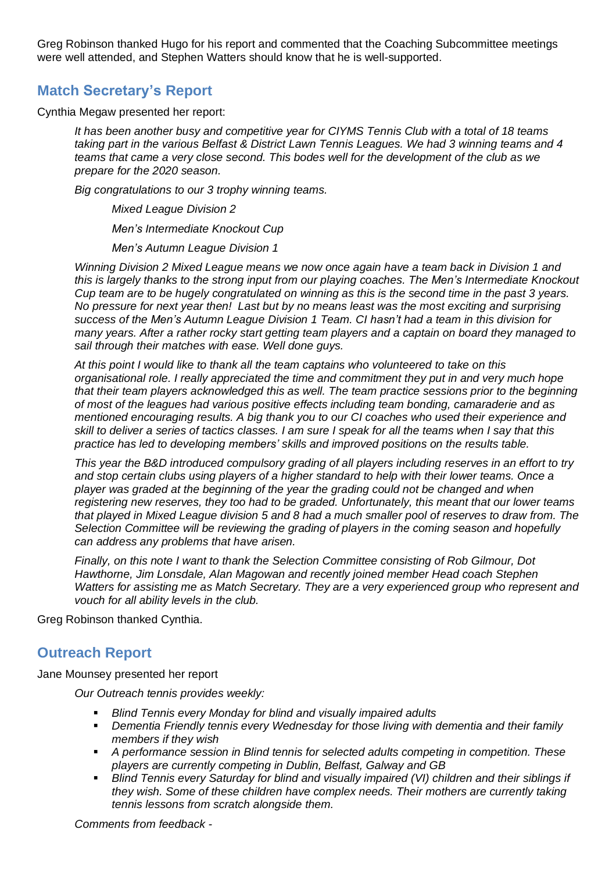Greg Robinson thanked Hugo for his report and commented that the Coaching Subcommittee meetings were well attended, and Stephen Watters should know that he is well-supported.

## **Match Secretary's Report**

Cynthia Megaw presented her report:

*It has been another busy and competitive year for CIYMS Tennis Club with a total of 18 teams taking part in the various Belfast & District Lawn Tennis Leagues. We had 3 winning teams and 4 teams that came a very close second. This bodes well for the development of the club as we prepare for the 2020 season.*

*Big congratulations to our 3 trophy winning teams.* 

*Mixed League Division 2*

*Men's Intermediate Knockout Cup*

*Men's Autumn League Division 1*

*Winning Division 2 Mixed League means we now once again have a team back in Division 1 and this is largely thanks to the strong input from our playing coaches. The Men's Intermediate Knockout* Cup team are to be hugely congratulated on winning as this is the second time in the past 3 years. *No pressure for next year then! Last but by no means least was the most exciting and surprising success of the Men's Autumn League Division 1 Team. CI hasn't had a team in this division for many years. After a rather rocky start getting team players and a captain on board they managed to sail through their matches with ease. Well done guys.*

*At this point I would like to thank all the team captains who volunteered to take on this organisational role. I really appreciated the time and commitment they put in and very much hope that their team players acknowledged this as well. The team practice sessions prior to the beginning of most of the leagues had various positive effects including team bonding, camaraderie and as mentioned encouraging results. A big thank you to our CI coaches who used their experience and* skill to deliver a series of tactics classes. I am sure I speak for all the teams when I say that this *practice has led to developing members' skills and improved positions on the results table.*

*This year the B&D introduced compulsory grading of all players including reserves in an effort to try and stop certain clubs using players of a higher standard to help with their lower teams. Once a player was graded at the beginning of the year the grading could not be changed and when registering new reserves, they too had to be graded. Unfortunately, this meant that our lower teams* that played in Mixed League division 5 and 8 had a much smaller pool of reserves to draw from. The *Selection Committee will be reviewing the grading of players in the coming season and hopefully can address any problems that have arisen.* 

*Finally, on this note I want to thank the Selection Committee consisting of Rob Gilmour, Dot Hawthorne, Jim Lonsdale, Alan Magowan and recently joined member Head coach Stephen Watters for assisting me as Match Secretary. They are a very experienced group who represent and vouch for all ability levels in the club.*

Greg Robinson thanked Cynthia.

## **Outreach Report**

Jane Mounsey presented her report

*Our Outreach tennis provides weekly:*

- *Blind Tennis every Monday for blind and visually impaired adults*
- *Dementia Friendly tennis every Wednesday for those living with dementia and their family members if they wish*
- *A performance session in Blind tennis for selected adults competing in competition. These players are currently competing in Dublin, Belfast, Galway and GB*
- *Blind Tennis every Saturday for blind and visually impaired (VI) children and their siblings if they wish. Some of these children have complex needs. Their mothers are currently taking tennis lessons from scratch alongside them.*

*Comments from feedback -*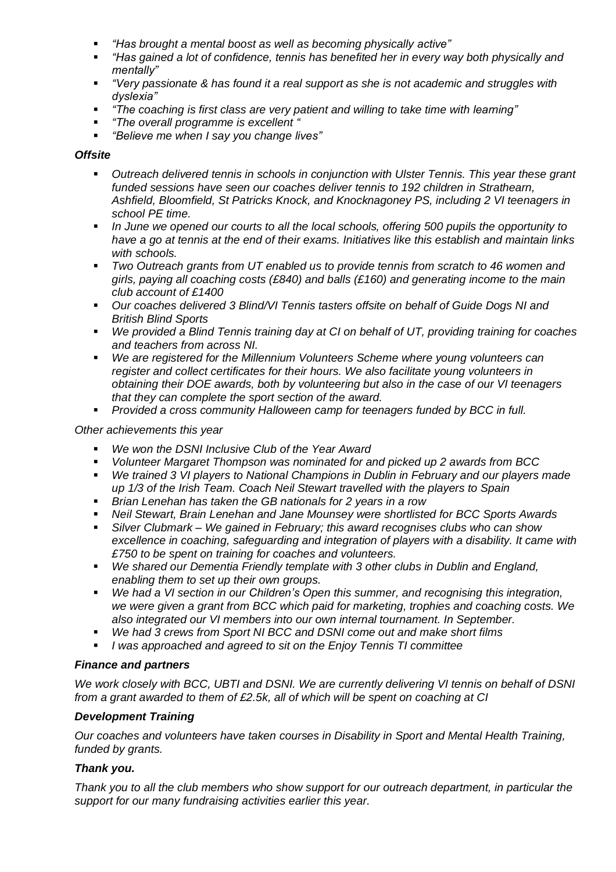- *"Has brought a mental boost as well as becoming physically active"*
- *"Has gained a lot of confidence, tennis has benefited her in every way both physically and mentally"*
- *"Very passionate & has found it a real support as she is not academic and struggles with dyslexia"*
- *"The coaching is first class are very patient and willing to take time with learning"*
- *"The overall programme is excellent "*
- *"Believe me when I say you change lives"*

#### *Offsite*

- *Outreach delivered tennis in schools in conjunction with Ulster Tennis. This year these grant funded sessions have seen our coaches deliver tennis to 192 children in Strathearn, Ashfield, Bloomfield, St Patricks Knock, and Knocknagoney PS, including 2 VI teenagers in school PE time.*
- *In June we opened our courts to all the local schools, offering 500 pupils the opportunity to have a go at tennis at the end of their exams. Initiatives like this establish and maintain links with schools.*
- *Two Outreach grants from UT enabled us to provide tennis from scratch to 46 women and girls, paying all coaching costs (£840) and balls (£160) and generating income to the main club account of £1400*
- *Our coaches delivered 3 Blind/VI Tennis tasters offsite on behalf of Guide Dogs NI and British Blind Sports*
- *We provided a Blind Tennis training day at CI on behalf of UT, providing training for coaches and teachers from across NI.*
- *We are registered for the Millennium Volunteers Scheme where young volunteers can register and collect certificates for their hours. We also facilitate young volunteers in obtaining their DOE awards, both by volunteering but also in the case of our VI teenagers that they can complete the sport section of the award.*
- *Provided a cross community Halloween camp for teenagers funded by BCC in full.*

#### *Other achievements this year*

- *We won the DSNI Inclusive Club of the Year Award*
- *Volunteer Margaret Thompson was nominated for and picked up 2 awards from BCC*
- *We trained 3 VI players to National Champions in Dublin in February and our players made up 1/3 of the Irish Team. Coach Neil Stewart travelled with the players to Spain*
- *Brian Lenehan has taken the GB nationals for 2 years in a row*
- *Neil Stewart, Brain Lenehan and Jane Mounsey were shortlisted for BCC Sports Awards*
- *Silver Clubmark – We gained in February; this award recognises clubs who can show excellence in coaching, safeguarding and integration of players with a disability. It came with £750 to be spent on training for coaches and volunteers.*
- *We shared our Dementia Friendly template with 3 other clubs in Dublin and England, enabling them to set up their own groups.*
- *We had a VI section in our Children's Open this summer, and recognising this integration, we were given a grant from BCC which paid for marketing, trophies and coaching costs. We also integrated our VI members into our own internal tournament. In September.*
- *We had 3 crews from Sport NI BCC and DSNI come out and make short films*
- *I was approached and agreed to sit on the Enjoy Tennis TI committee*

## *Finance and partners*

*We work closely with BCC, UBTI and DSNI. We are currently delivering VI tennis on behalf of DSNI from a grant awarded to them of £2.5k, all of which will be spent on coaching at CI*

#### *Development Training*

*Our coaches and volunteers have taken courses in Disability in Sport and Mental Health Training, funded by grants.*

## *Thank you.*

*Thank you to all the club members who show support for our outreach department, in particular the support for our many fundraising activities earlier this year.*